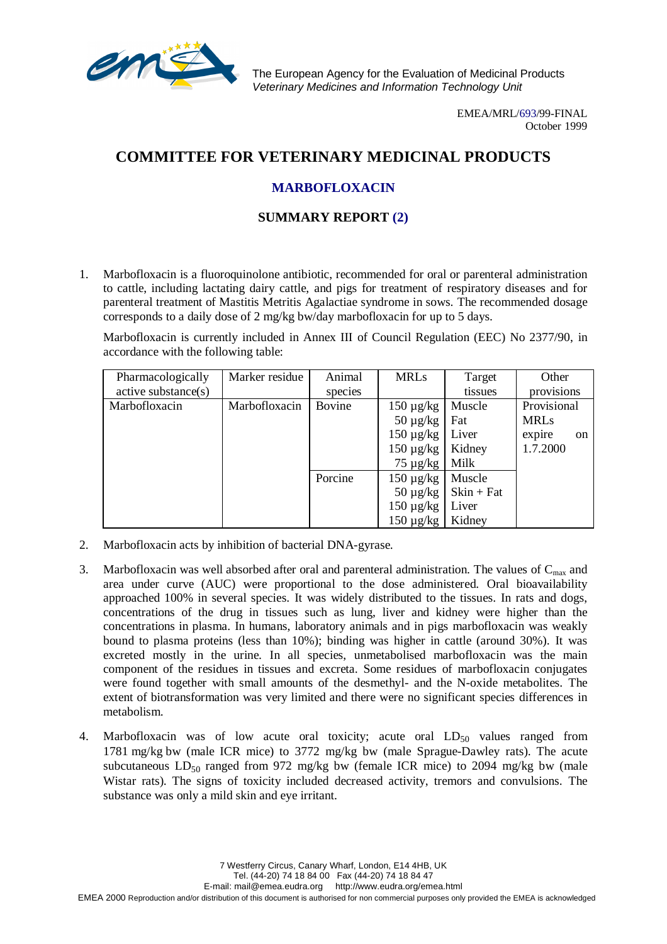

The European Agency for the Evaluation of Medicinal Products Veterinary Medicines and Information Technology Unit

> EMEA/MRL/693/99-FINAL October 1999

## **COMMITTEE FOR VETERINARY MEDICINAL PRODUCTS**

## **MARBOFLOXACIN**

## **SUMMARY REPORT (2)**

1. Marbofloxacin is a fluoroquinolone antibiotic, recommended for oral or parenteral administration to cattle, including lactating dairy cattle, and pigs for treatment of respiratory diseases and for parenteral treatment of Mastitis Metritis Agalactiae syndrome in sows. The recommended dosage corresponds to a daily dose of 2 mg/kg bw/day marbofloxacin for up to 5 days.

Marbofloxacin is currently included in Annex III of Council Regulation (EEC) No 2377/90, in accordance with the following table:

| Pharmacologically   | Marker residue | Animal  | <b>MRLs</b>    | Target       | Other        |
|---------------------|----------------|---------|----------------|--------------|--------------|
| active substance(s) |                | species |                | tissues      | provisions   |
| Marbofloxacin       | Marbofloxacin  | Bovine  | $150 \mu g/kg$ | Muscle       | Provisional  |
|                     |                |         | $50 \mu g/kg$  | Fat          | <b>MRLs</b>  |
|                     |                |         | $150 \mu g/kg$ | Liver        | expire<br>on |
|                     |                |         | $150 \mu g/kg$ | Kidney       | 1.7.2000     |
|                     |                |         | $75 \mu g/kg$  | Milk         |              |
|                     |                | Porcine | $150 \mu g/kg$ | Muscle       |              |
|                     |                |         | $50 \mu g/kg$  | $Skin + Fat$ |              |
|                     |                |         | $150 \mu g/kg$ | Liver        |              |
|                     |                |         | $150 \mu g/kg$ | Kidney       |              |

- 2. Marbofloxacin acts by inhibition of bacterial DNA-gyrase.
- 3. Marbofloxacin was well absorbed after oral and parenteral administration. The values of  $C_{\text{max}}$  and area under curve (AUC) were proportional to the dose administered. Oral bioavailability approached 100% in several species. It was widely distributed to the tissues. In rats and dogs, concentrations of the drug in tissues such as lung, liver and kidney were higher than the concentrations in plasma. In humans, laboratory animals and in pigs marbofloxacin was weakly bound to plasma proteins (less than 10%); binding was higher in cattle (around 30%). It was excreted mostly in the urine. In all species, unmetabolised marbofloxacin was the main component of the residues in tissues and excreta. Some residues of marbofloxacin conjugates were found together with small amounts of the desmethyl- and the N-oxide metabolites. The extent of biotransformation was very limited and there were no significant species differences in metabolism.
- 4. Marbofloxacin was of low acute oral toxicity; acute oral  $LD_{50}$  values ranged from 1781 mg/kg bw (male ICR mice) to 3772 mg/kg bw (male Sprague-Dawley rats). The acute subcutaneous  $LD_{50}$  ranged from 972 mg/kg bw (female ICR mice) to 2094 mg/kg bw (male Wistar rats). The signs of toxicity included decreased activity, tremors and convulsions. The substance was only a mild skin and eye irritant.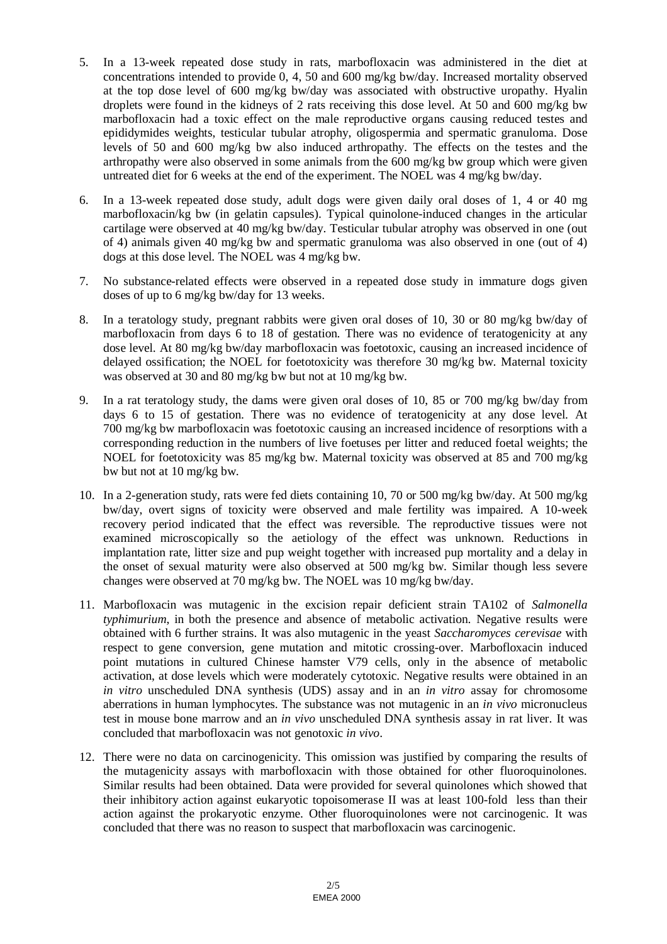- 5. In a 13-week repeated dose study in rats, marbofloxacin was administered in the diet at concentrations intended to provide 0, 4, 50 and 600 mg/kg bw/day. Increased mortality observed at the top dose level of 600 mg/kg bw/day was associated with obstructive uropathy. Hyalin droplets were found in the kidneys of 2 rats receiving this dose level. At 50 and 600 mg/kg bw marbofloxacin had a toxic effect on the male reproductive organs causing reduced testes and epididymides weights, testicular tubular atrophy, oligospermia and spermatic granuloma. Dose levels of 50 and 600 mg/kg bw also induced arthropathy. The effects on the testes and the arthropathy were also observed in some animals from the 600 mg/kg bw group which were given untreated diet for 6 weeks at the end of the experiment. The NOEL was 4 mg/kg bw/day.
- 6. In a 13-week repeated dose study, adult dogs were given daily oral doses of 1, 4 or 40 mg marbofloxacin/kg bw (in gelatin capsules). Typical quinolone-induced changes in the articular cartilage were observed at 40 mg/kg bw/day. Testicular tubular atrophy was observed in one (out of 4) animals given 40 mg/kg bw and spermatic granuloma was also observed in one (out of 4) dogs at this dose level. The NOEL was 4 mg/kg bw.
- 7. No substance-related effects were observed in a repeated dose study in immature dogs given doses of up to 6 mg/kg bw/day for 13 weeks.
- 8. In a teratology study, pregnant rabbits were given oral doses of 10, 30 or 80 mg/kg bw/day of marbofloxacin from days 6 to 18 of gestation. There was no evidence of teratogenicity at any dose level. At 80 mg/kg bw/day marbofloxacin was foetotoxic, causing an increased incidence of delayed ossification; the NOEL for foetotoxicity was therefore 30 mg/kg bw. Maternal toxicity was observed at 30 and 80 mg/kg bw but not at 10 mg/kg bw.
- 9. In a rat teratology study, the dams were given oral doses of 10, 85 or 700 mg/kg bw/day from days 6 to 15 of gestation. There was no evidence of teratogenicity at any dose level. At 700 mg/kg bw marbofloxacin was foetotoxic causing an increased incidence of resorptions with a corresponding reduction in the numbers of live foetuses per litter and reduced foetal weights; the NOEL for foetotoxicity was 85 mg/kg bw. Maternal toxicity was observed at 85 and 700 mg/kg bw but not at 10 mg/kg bw.
- 10. In a 2-generation study, rats were fed diets containing 10, 70 or 500 mg/kg bw/day. At 500 mg/kg bw/day, overt signs of toxicity were observed and male fertility was impaired. A 10-week recovery period indicated that the effect was reversible. The reproductive tissues were not examined microscopically so the aetiology of the effect was unknown. Reductions in implantation rate, litter size and pup weight together with increased pup mortality and a delay in the onset of sexual maturity were also observed at 500 mg/kg bw. Similar though less severe changes were observed at 70 mg/kg bw. The NOEL was 10 mg/kg bw/day.
- 11. Marbofloxacin was mutagenic in the excision repair deficient strain TA102 of *Salmonella typhimurium*, in both the presence and absence of metabolic activation. Negative results were obtained with 6 further strains. It was also mutagenic in the yeast *Saccharomyces cerevisae* with respect to gene conversion, gene mutation and mitotic crossing-over. Marbofloxacin induced point mutations in cultured Chinese hamster V79 cells, only in the absence of metabolic activation, at dose levels which were moderately cytotoxic. Negative results were obtained in an *in vitro* unscheduled DNA synthesis (UDS) assay and in an *in vitro* assay for chromosome aberrations in human lymphocytes. The substance was not mutagenic in an *in vivo* micronucleus test in mouse bone marrow and an *in vivo* unscheduled DNA synthesis assay in rat liver. It was concluded that marbofloxacin was not genotoxic *in vivo*.
- 12. There were no data on carcinogenicity. This omission was justified by comparing the results of the mutagenicity assays with marbofloxacin with those obtained for other fluoroquinolones. Similar results had been obtained. Data were provided for several quinolones which showed that their inhibitory action against eukaryotic topoisomerase II was at least 100-fold less than their action against the prokaryotic enzyme. Other fluoroquinolones were not carcinogenic. It was concluded that there was no reason to suspect that marbofloxacin was carcinogenic.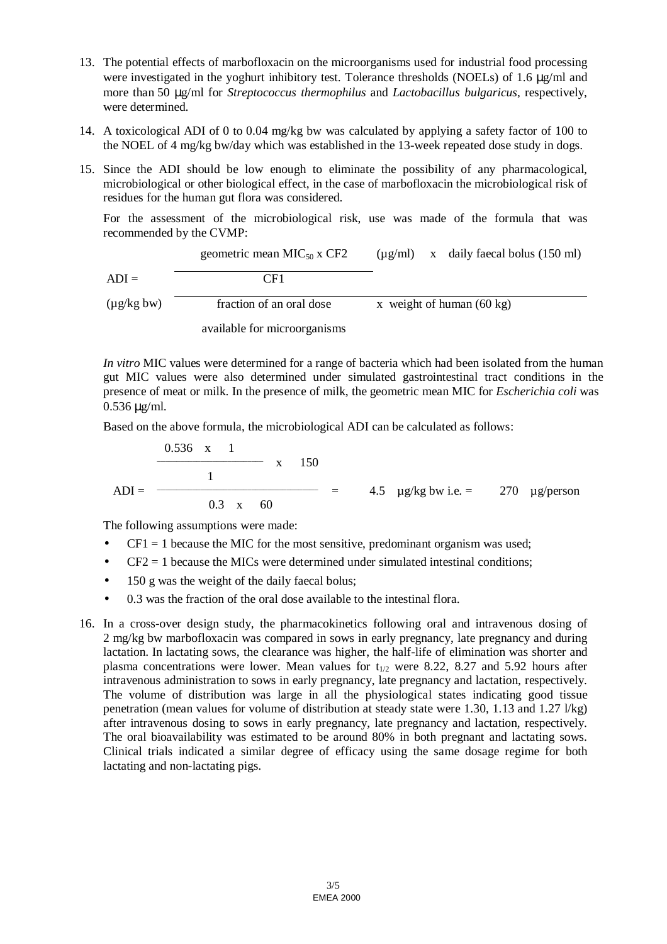- 13. The potential effects of marbofloxacin on the microorganisms used for industrial food processing were investigated in the yoghurt inhibitory test. Tolerance thresholds (NOELs) of 1.6 µg/ml and more than 50 µg/ml for *Streptococcus thermophilus* and *Lactobacillus bulgaricus*, respectively, were determined.
- 14. A toxicological ADI of 0 to 0.04 mg/kg bw was calculated by applying a safety factor of 100 to the NOEL of 4 mg/kg bw/day which was established in the 13-week repeated dose study in dogs.
- 15. Since the ADI should be low enough to eliminate the possibility of any pharmacological, microbiological or other biological effect, in the case of marbofloxacin the microbiological risk of residues for the human gut flora was considered.

For the assessment of the microbiological risk, use was made of the formula that was recommended by the CVMP:

geometric mean MIC50 x CF2 CF1 (µg/ml) x daily faecal bolus (150 ml) ADI = (µg/kg bw) fraction of an oral dose x weight of human (60 kg)

available for microorganisms

*In vitro* MIC values were determined for a range of bacteria which had been isolated from the human gut MIC values were also determined under simulated gastrointestinal tract conditions in the presence of meat or milk. In the presence of milk, the geometric mean MIC for *Escherichia coli* was 0.536 µg/ml.

Based on the above formula, the microbiological ADI can be calculated as follows:

$$
ADI = \frac{0.536 \times 1}{1}
$$
 x 150  
ADI = 4.5  $\mu$ g/kg bw i.e. = 270  $\mu$ g/person

The following assumptions were made:

- $CF1 = 1$  because the MIC for the most sensitive, predominant organism was used;
- $\bullet$  CF2 = 1 because the MICs were determined under simulated intestinal conditions;
- 150 g was the weight of the daily faecal bolus;
- 0.3 was the fraction of the oral dose available to the intestinal flora.
- 16. In a cross-over design study, the pharmacokinetics following oral and intravenous dosing of 2 mg/kg bw marbofloxacin was compared in sows in early pregnancy, late pregnancy and during lactation. In lactating sows, the clearance was higher, the half-life of elimination was shorter and plasma concentrations were lower. Mean values for  $t_{1/2}$  were 8.22, 8.27 and 5.92 hours after intravenous administration to sows in early pregnancy, late pregnancy and lactation, respectively. The volume of distribution was large in all the physiological states indicating good tissue penetration (mean values for volume of distribution at steady state were 1.30, 1.13 and 1.27 l/kg) after intravenous dosing to sows in early pregnancy, late pregnancy and lactation, respectively. The oral bioavailability was estimated to be around 80% in both pregnant and lactating sows. Clinical trials indicated a similar degree of efficacy using the same dosage regime for both lactating and non-lactating pigs.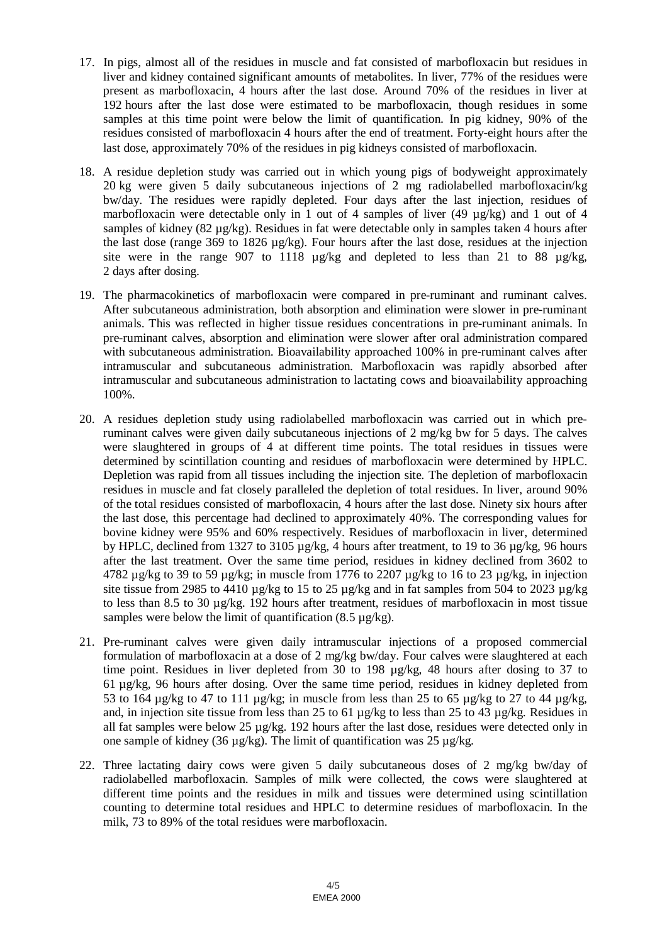- 17. In pigs, almost all of the residues in muscle and fat consisted of marbofloxacin but residues in liver and kidney contained significant amounts of metabolites. In liver, 77% of the residues were present as marbofloxacin, 4 hours after the last dose. Around 70% of the residues in liver at 192 hours after the last dose were estimated to be marbofloxacin, though residues in some samples at this time point were below the limit of quantification. In pig kidney, 90% of the residues consisted of marbofloxacin 4 hours after the end of treatment. Forty-eight hours after the last dose, approximately 70% of the residues in pig kidneys consisted of marbofloxacin.
- 18. A residue depletion study was carried out in which young pigs of bodyweight approximately 20 kg were given 5 daily subcutaneous injections of 2 mg radiolabelled marbofloxacin/kg bw/day. The residues were rapidly depleted. Four days after the last injection, residues of marbofloxacin were detectable only in 1 out of 4 samples of liver (49  $\mu$ g/kg) and 1 out of 4 samples of kidney (82 µg/kg). Residues in fat were detectable only in samples taken 4 hours after the last dose (range 369 to 1826 µg/kg). Four hours after the last dose, residues at the injection site were in the range 907 to 1118  $\mu$ g/kg and depleted to less than 21 to 88  $\mu$ g/kg, 2 days after dosing.
- 19. The pharmacokinetics of marbofloxacin were compared in pre-ruminant and ruminant calves. After subcutaneous administration, both absorption and elimination were slower in pre-ruminant animals. This was reflected in higher tissue residues concentrations in pre-ruminant animals. In pre-ruminant calves, absorption and elimination were slower after oral administration compared with subcutaneous administration. Bioavailability approached 100% in pre-ruminant calves after intramuscular and subcutaneous administration. Marbofloxacin was rapidly absorbed after intramuscular and subcutaneous administration to lactating cows and bioavailability approaching 100%.
- 20. A residues depletion study using radiolabelled marbofloxacin was carried out in which preruminant calves were given daily subcutaneous injections of 2 mg/kg bw for 5 days. The calves were slaughtered in groups of 4 at different time points. The total residues in tissues were determined by scintillation counting and residues of marbofloxacin were determined by HPLC. Depletion was rapid from all tissues including the injection site. The depletion of marbofloxacin residues in muscle and fat closely paralleled the depletion of total residues. In liver, around 90% of the total residues consisted of marbofloxacin, 4 hours after the last dose. Ninety six hours after the last dose, this percentage had declined to approximately 40%. The corresponding values for bovine kidney were 95% and 60% respectively. Residues of marbofloxacin in liver, determined by HPLC, declined from 1327 to 3105 µg/kg, 4 hours after treatment, to 19 to 36 µg/kg, 96 hours after the last treatment. Over the same time period, residues in kidney declined from 3602 to 4782 µg/kg to 39 to 59 µg/kg; in muscle from 1776 to 2207 µg/kg to 16 to 23 µg/kg, in injection site tissue from 2985 to 4410  $\mu$ g/kg to 15 to 25  $\mu$ g/kg and in fat samples from 504 to 2023  $\mu$ g/kg to less than 8.5 to 30 µg/kg. 192 hours after treatment, residues of marbofloxacin in most tissue samples were below the limit of quantification  $(8.5 \text{ kg/kg})$ .
- 21. Pre-ruminant calves were given daily intramuscular injections of a proposed commercial formulation of marbofloxacin at a dose of 2 mg/kg bw/day. Four calves were slaughtered at each time point. Residues in liver depleted from 30 to 198 µg/kg, 48 hours after dosing to 37 to 61 µg/kg, 96 hours after dosing. Over the same time period, residues in kidney depleted from 53 to 164 ug/kg to 47 to 111 ug/kg; in muscle from less than 25 to 65 ug/kg to 27 to 44 ug/kg. and, in injection site tissue from less than 25 to 61 µg/kg to less than 25 to 43 µg/kg. Residues in all fat samples were below 25  $\mu$ g/kg. 192 hours after the last dose, residues were detected only in one sample of kidney (36  $\mu$ g/kg). The limit of quantification was 25  $\mu$ g/kg.
- 22. Three lactating dairy cows were given 5 daily subcutaneous doses of 2 mg/kg bw/day of radiolabelled marbofloxacin. Samples of milk were collected, the cows were slaughtered at different time points and the residues in milk and tissues were determined using scintillation counting to determine total residues and HPLC to determine residues of marbofloxacin. In the milk, 73 to 89% of the total residues were marbofloxacin.